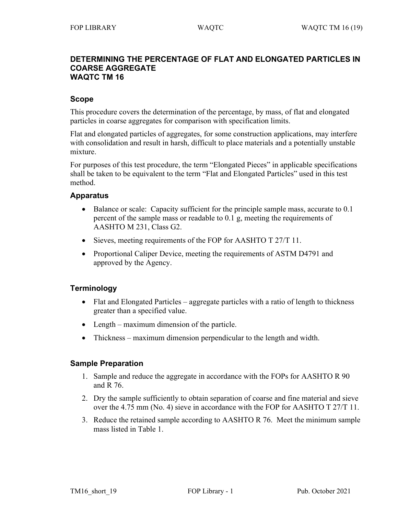#### **DETERMINING THE PERCENTAGE OF FLAT AND ELONGATED PARTICLES IN COARSE AGGREGATE WAQTC TM 16**

### **Scope**

This procedure covers the determination of the percentage, by mass, of flat and elongated particles in coarse aggregates for comparison with specification limits.

Flat and elongated particles of aggregates, for some construction applications, may interfere with consolidation and result in harsh, difficult to place materials and a potentially unstable mixture.

For purposes of this test procedure, the term "Elongated Pieces" in applicable specifications shall be taken to be equivalent to the term "Flat and Elongated Particles" used in this test method.

#### **Apparatus**

- Balance or scale: Capacity sufficient for the principle sample mass, accurate to 0.1 percent of the sample mass or readable to 0.1 g, meeting the requirements of AASHTO M 231, Class G2.
- Sieves, meeting requirements of the FOP for AASHTO T 27/T 11.
- Proportional Caliper Device, meeting the requirements of ASTM D4791 and approved by the Agency.

### **Terminology**

- Flat and Elongated Particles aggregate particles with a ratio of length to thickness greater than a specified value.
- Length maximum dimension of the particle.
- Thickness maximum dimension perpendicular to the length and width.

### **Sample Preparation**

- 1. Sample and reduce the aggregate in accordance with the FOPs for AASHTO R 90 and R 76.
- 2. Dry the sample sufficiently to obtain separation of coarse and fine material and sieve over the 4.75 mm (No. 4) sieve in accordance with the FOP for AASHTO T 27/T 11.
- 3. Reduce the retained sample according to AASHTO R 76. Meet the minimum sample mass listed in Table 1.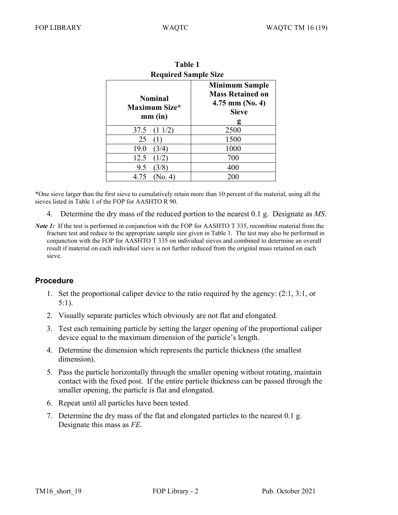| l ainv i<br><b>Required Sample Size</b> |      |
|-----------------------------------------|------|
|                                         |      |
| (11/2)<br>37.5                          | 2500 |
| 25                                      | 1500 |
| (3/4)<br>19.0                           | 1000 |
| 12.5                                    | 700  |
| 9.5<br>3/8                              | 400  |
| 4.75<br>(No. 4)                         | 200  |

| <b>Table 1</b>              |                    |
|-----------------------------|--------------------|
| <b>Required Sample Size</b> |                    |
|                             | <b>Minimum Sa</b>  |
| Nominal<br>kimum Size*      | <b>Mass Retain</b> |
|                             | 4.75 mm $(N)$      |
|                             |                    |

\*One sieve larger than the first sieve to cumulatively retain more than 10 percent of the material, using all the sieves listed in Table 1 of the FOP for AASHTO R 90.

- 4. Determine the dry mass of the reduced portion to the nearest 0.1 g. Designate as *MS*.
- *Note 1*: If the test is performed in conjunction with the FOP for AASHTO T 335, recombine material from the fracture test and reduce to the appropriate sample size given in Table 1. The test may also be performed in conjunction with the FOP for AASHTO T 335 on individual sieves and combined to determine an overall result if material on each individual sieve is not further reduced from the original mass retained on each sieve.

# **Procedure**

- 1. Set the proportional caliper device to the ratio required by the agency: (2:1, 3:1, or 5:1).
- 2. Visually separate particles which obviously are not flat and elongated.
- 3. Test each remaining particle by setting the larger opening of the proportional caliper device equal to the maximum dimension of the particle's length.
- 4. Determine the dimension which represents the particle thickness (the smallest dimension).
- 5. Pass the particle horizontally through the smaller opening without rotating, maintain contact with the fixed post. If the entire particle thickness can be passed through the smaller opening, the particle is flat and elongated.
- 6. Repeat until all particles have been tested.
- 7. Determine the dry mass of the flat and elongated particles to the nearest 0.1 g. Designate this mass as *FE*.